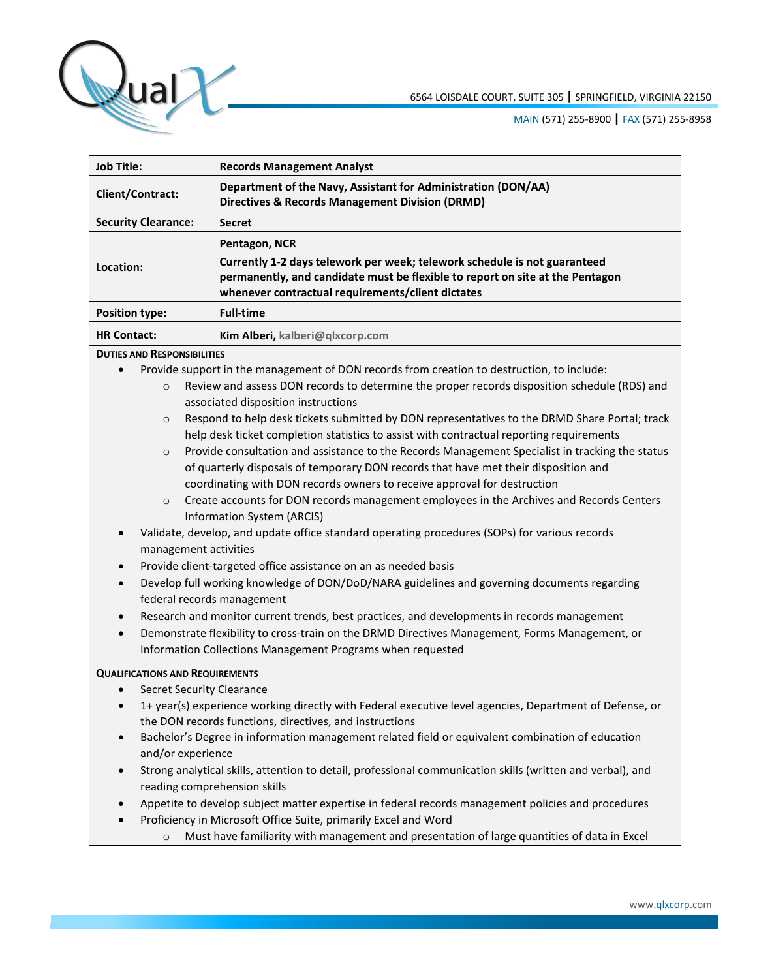

| <b>Job Title:</b>          | <b>Records Management Analyst</b>                                                                                                                                                                                                |
|----------------------------|----------------------------------------------------------------------------------------------------------------------------------------------------------------------------------------------------------------------------------|
| <b>Client/Contract:</b>    | Department of the Navy, Assistant for Administration (DON/AA)<br><b>Directives &amp; Records Management Division (DRMD)</b>                                                                                                      |
| <b>Security Clearance:</b> | <b>Secret</b>                                                                                                                                                                                                                    |
| Location:                  | Pentagon, NCR<br>Currently 1-2 days telework per week; telework schedule is not guaranteed<br>permanently, and candidate must be flexible to report on site at the Pentagon<br>whenever contractual requirements/client dictates |
| <b>Position type:</b>      | <b>Full-time</b>                                                                                                                                                                                                                 |
| <b>HR Contact:</b>         | Kim Alberi, kalberi@glxcorp.com                                                                                                                                                                                                  |

## **DUTIES AND RESPONSIBILITIES**

- Provide support in the management of DON records from creation to destruction, to include:
	- o Review and assess DON records to determine the proper records disposition schedule (RDS) and associated disposition instructions
	- o Respond to help desk tickets submitted by DON representatives to the DRMD Share Portal; track help desk ticket completion statistics to assist with contractual reporting requirements
	- $\circ$  Provide consultation and assistance to the Records Management Specialist in tracking the status of quarterly disposals of temporary DON records that have met their disposition and coordinating with DON records owners to receive approval for destruction
	- o Create accounts for DON records management employees in the Archives and Records Centers Information System (ARCIS)
- Validate, develop, and update office standard operating procedures (SOPs) for various records management activities
- Provide client-targeted office assistance on an as needed basis
- Develop full working knowledge of DON/DoD/NARA guidelines and governing documents regarding federal records management
- Research and monitor current trends, best practices, and developments in records management
- Demonstrate flexibility to cross-train on the DRMD Directives Management, Forms Management, or Information Collections Management Programs when requested

## **QUALIFICATIONS AND REQUIREMENTS**

- Secret Security Clearance
- 1+ year(s) experience working directly with Federal executive level agencies, Department of Defense, or the DON records functions, directives, and instructions
- Bachelor's Degree in information management related field or equivalent combination of education and/or experience
- Strong analytical skills, attention to detail, professional communication skills (written and verbal), and reading comprehension skills
- Appetite to develop subject matter expertise in federal records management policies and procedures
- Proficiency in Microsoft Office Suite, primarily Excel and Word
	- o Must have familiarity with management and presentation of large quantities of data in Excel